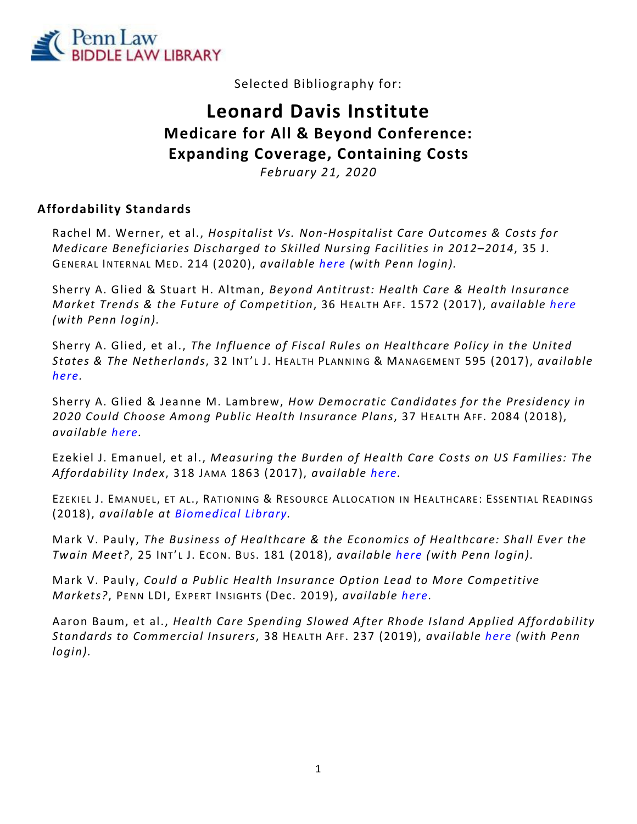

Selected Bibliography for:

# **Leonard Davis Institute Medicare for All & Beyond Conference: Expanding Coverage, Containing Costs**

*February 21, 2020*

### **Affordability Standards**

Rachel M. Werner, et al., *Hospitalist Vs. Non-Hospitalist Care Outcomes & Costs for Medicare Beneficiaries Discharged to Skilled Nursing Facilities in 2012–2014*, 35 J. GENERAL INTERNAL MED. 214 (2020), *available [here](https://bit.ly/2RCsrq0) (with Penn login).*

Sherry A. Glied & Stuart H. Altman, *Beyond Antitrust: Health Care & Health Insurance Market Trends & the Future of Competition*, 36 HEALTH AFF. 1572 (2017), *available [here](https://bit.ly/314qBB0) (with Penn login).*

Sherry A. Glied, et al., *The Influence of Fiscal Rules on Healthcare Policy in the United States & The Netherlands*, 32 INT' L J. HEALTH PLANNING & MANAGEMENT 595 (2017), *available [here.](https://bit.ly/37yEudg)*

Sherry A. Glied & Jeanne M. Lambrew, *How Democratic Candidates for the Presidency in 2020 Could Choose Among Public Health Insurance Plans*, 37 HEALTH AFF. 2084 (2018), *available [here.](https://bit.ly/2RCVw4D)*

Ezekiel J. Emanuel, et al., *Measuring the Burden of Health Care Costs on US Families: The Affordability Index*, 318 JAMA 1863 (2017), *available [here.](https://bit.ly/2uN4bbp)*

EZEKIEL J. EMANUEL, ET AL., RATIONING & RESOURCE ALLOCATION IN HEALTHCARE: ESSENTIAL READINGS (2018), *available at [Biomedical Library.](https://franklin.library.upenn.edu/catalog/FRANKLIN_9977363503503681)*

Mark V. Pauly, *The Business of Healthcare & the Economics of Healthcare: Shall Ever the Twain Meet?*, 25 INT' L J. ECON. BUS. 181 (2018), *available [here](https://bit.ly/36zNaPq) (with Penn login).*

Mark V. Pauly, *Could a Public Health Insurance Option Lead to More Competitive Markets?*, PENN LDI, EXPERT INSIGHTS (Dec. 2019), *available [here.](https://bit.ly/2RBHDmX)*

Aaron Baum, et al., *Health Care Spending Slowed After Rhode Island Applied Affordability Standards to Commercial Insurers*, 38 HEALTH AFF. 237 (2019), *available [here](https://bit.ly/3aQyFde) (with Penn login).*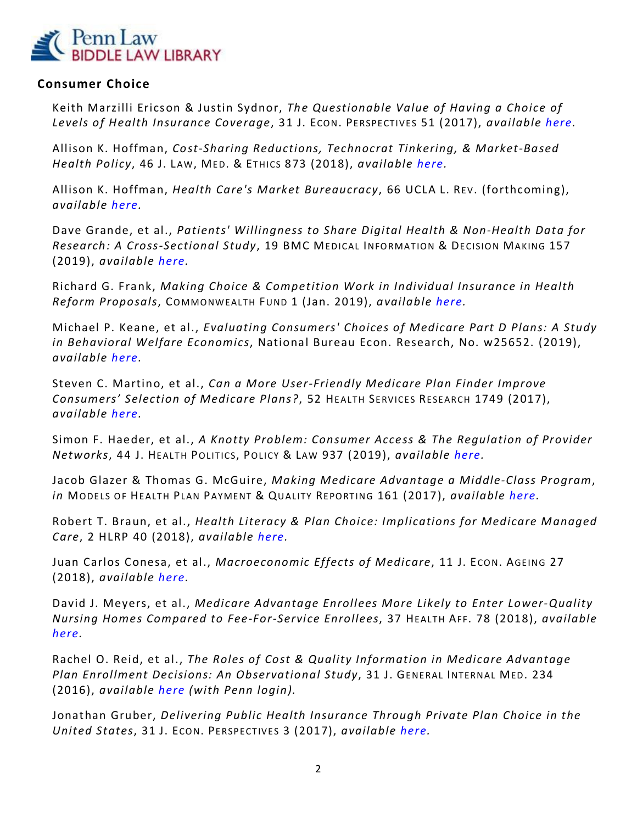

#### **Consumer Choice**

Keith Marzilli Ericson & Justin Sydnor, *The Questionable Value of Having a Choice of Levels of Health Insurance Coverage*, 31 J. ECON. PERSPECTIVES 51 (2017), *available [here.](https://bit.ly/2Gv887t)*

Allison K. Hoffman, *Cost-Sharing Reductions, Technocrat Tinkering, & Market-Based Health Policy*, 46 J. LAW, MED. & ETHICS 873 (2018), *available [here.](https://bit.ly/2ObfLnA)*

Allison K. Hoffman, *Health Care's Market Bureaucracy*, 66 UCLA L. REV. (forthcoming), *available [here.](https://bit.ly/3aVgoeI)*

Dave Grande, et al., *Patients' Willingness to Share Digital Health & Non-Health Data for Research: A Cross-Sectional Study*, 19 BMC MEDICAL INFORMATION & DECISION MAKING 157 (2019), *available [here.](https://bit.ly/2tP6x9T)*

Richard G. Frank, *Making Choice & Competition Work in Individual Insurance in Health Reform Proposals*, COMMONWEALTH FUND 1 (Jan. 2019), *available [here.](https://bit.ly/2RA9JPE)*

Michael P. Keane, et al., *Evaluating Consumers' Choices of Medicare Part D Plans: A Study in Behavioral Welfare Economics*, National Bureau Econ. Research, No. w25652. (2019), *available [here.](https://bit.ly/2OawBD7)*

Steven C. Martino, et al., *Can a More User-Friendly Medicare Plan Finder Improve Consumers' Selection of Medicare Plans?*, 52 HEALTH SERVICES RESEARCH 1749 (2017), *available [here.](https://bit.ly/2GEDrwp)*

Simon F. Haeder, et al., *A Knotty Problem: Consumer Access & The Regulation of Provider Networks*, 44 J. HEALTH POLITICS, POLICY & LAW 937 (2019), *available [here.](https://bit.ly/2tRdPdi)*

Jacob Glazer & Thomas G. McGuire, *Making Medicare Advantage a Middle-Class Program*, *in* MODELS OF HEALTH PLAN PAYMENT & QUALITY REPORTING 161 (2017), *available [here.](https://www.ncbi.nlm.nih.gov/pmc/articles/PMC3596475/)*

Robert T. Braun, et al., *Health Literacy & Plan Choice: Implications for Medicare Managed Care*, 2 HLRP 40 (2018), *available [here.](https://bit.ly/31fkD0B)*

Juan Carlos Conesa, et al., *Macroeconomic Effects of Medicare*, 11 J. ECON. AGEING 27 (2018), *available [here.](https://bit.ly/38QrcsY)*

David J. Meyers, et al., *Medicare Advantage Enrollees More Likely to Enter Lower-Quality Nursing Homes Compared to Fee-For-Service Enrollees*, 37 HEALTH AFF. 78 (2018), *available [here.](https://bit.ly/38PLGlq)*

Rachel O. Reid, et al., *The Roles of Cost & Quality Information in Medicare Advantage Plan Enrollment Decisions: An Observational Study*, 31 J. GENERAL INTERNAL MED. 234 (2016), *available [here](https://bit.ly/2tcfxpa) (with Penn login).*

Jonathan Gruber, *Delivering Public Health Insurance Through Private Plan Choice in the United States*, 31 J. ECON. PERSPECTIVES 3 (2017), *available [here.](https://bit.ly/2RB9zr6)*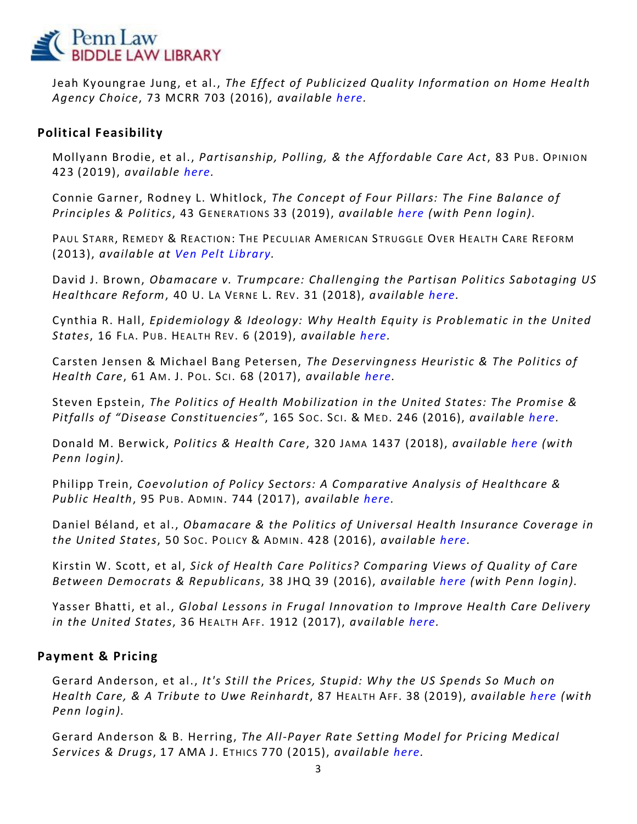

Jeah Kyoungrae Jung, et al., *The Effect of Publicized Quality Information on Home Health Agency Choice*, 73 MCRR 703 (2016), *available [here.](https://bit.ly/2RB9BPK)*

### **Political Feasibility**

Mollyann Brodie, et al., *Partisanship, Polling, & the Affordable Care Act*, 83 PUB. OPINION 423 (2019), *available [here.](https://bit.ly/36FweXA)*

Connie Garner, Rodney L. Whitlock, *The Concept of Four Pillars: The Fine Balance of Principles & Politics*, 43 GENERATIONS 33 (2019), *available [here](https://bit.ly/38Tmr1x) (with Penn login).*

PAUL STARR, REMEDY & REACTION: THE PECULIAR AMERICAN STRUGGLE OVER HEALTH CARE REFORM (2013), *available at [Ven Pelt Library.](https://franklin.library.upenn.edu/catalog/FRANKLIN_9951494303503681)*

David J. Brown, *Obamacare v. Trumpcare: Challenging the Partisan Politics Sabotaging US Healthcare Reform*, 40 U. LA VERNE L. REV. 31 (2018), *available [here.](https://bit.ly/2GB4atP)*

Cynthia R. Hall, *Epidemiology & Ideology: Why Health Equity is Problematic in the United States*, 16 FLA. PUB. HEALTH REV. 6 (2019), *available [here.](https://bit.ly/3aLU1sa)*

Carsten Jensen & Michael Bang Petersen, *The Deservingness Heuristic & The Politics of Health Care*, 61 AM. J. PO L. SCI. 68 (2017), *available [here.](https://bit.ly/2GwCIgL)*

Steven Epstein, *The Politics of Health Mobilization in the United States: The Promise & Pitfalls of "Disease Constituencies"*, 165 Soc. Sci. & MED. 246 (2016), *available [here.](https://bit.ly/2S0GGnq)* 

Donald M. Berwick, *Politics & Health Care*, 320 JAMA 1437 (2018), *available [here](https://bit.ly/3aS5OFw) (with Penn login).*

Philipp Trein, *Coevolution of Policy Sectors: A Comparative Analysis of Healthcare & Public Health*, 95 PUB. ADMIN. 744 (2017), *available [here.](https://ssrn.com/abstract=2548182)*

Daniel Béland, et al., *Obamacare & the Politics of Universal Health Insurance Coverage in the United States*, 50 SO C. POLICY & ADMIN. 428 (2016), *available [here.](https://bit.ly/2tSfHCy)*

Kirstin W. Scott, et al, *Sick of Health Care Politics? Comparing Views of Quality of Care Between Democrats & Republicans*, 38 JHQ 39 (2016), *available [here](https://bit.ly/2vz7uUf) (with Penn login).*

Yasser Bhatti, et al., *Global Lessons in Frugal Innovation to Improve Health Care Delivery in the United States*, 36 HEALTH AFF. 1912 (2017), *available [here.](https://bit.ly/3aUg5kD)*

#### **Payment & Pricing**

Gerard Anderson, et al., *It's Still the Prices, Stupid: Why the US Spends So Much on Health Care, & A Tribute to Uwe Reinhardt*, 87 HEALTH AFF. 38 (2019), *available [here](https://bit.ly/3aLW53o) (with Penn login).*

Gerard Anderson & B. Herring, *The All-Payer Rate Setting Model for Pricing Medical Services & Drugs*, 17 AMA J. ETHICS 770 (2015), *available [here.](https://bit.ly/2RDdQdD)*